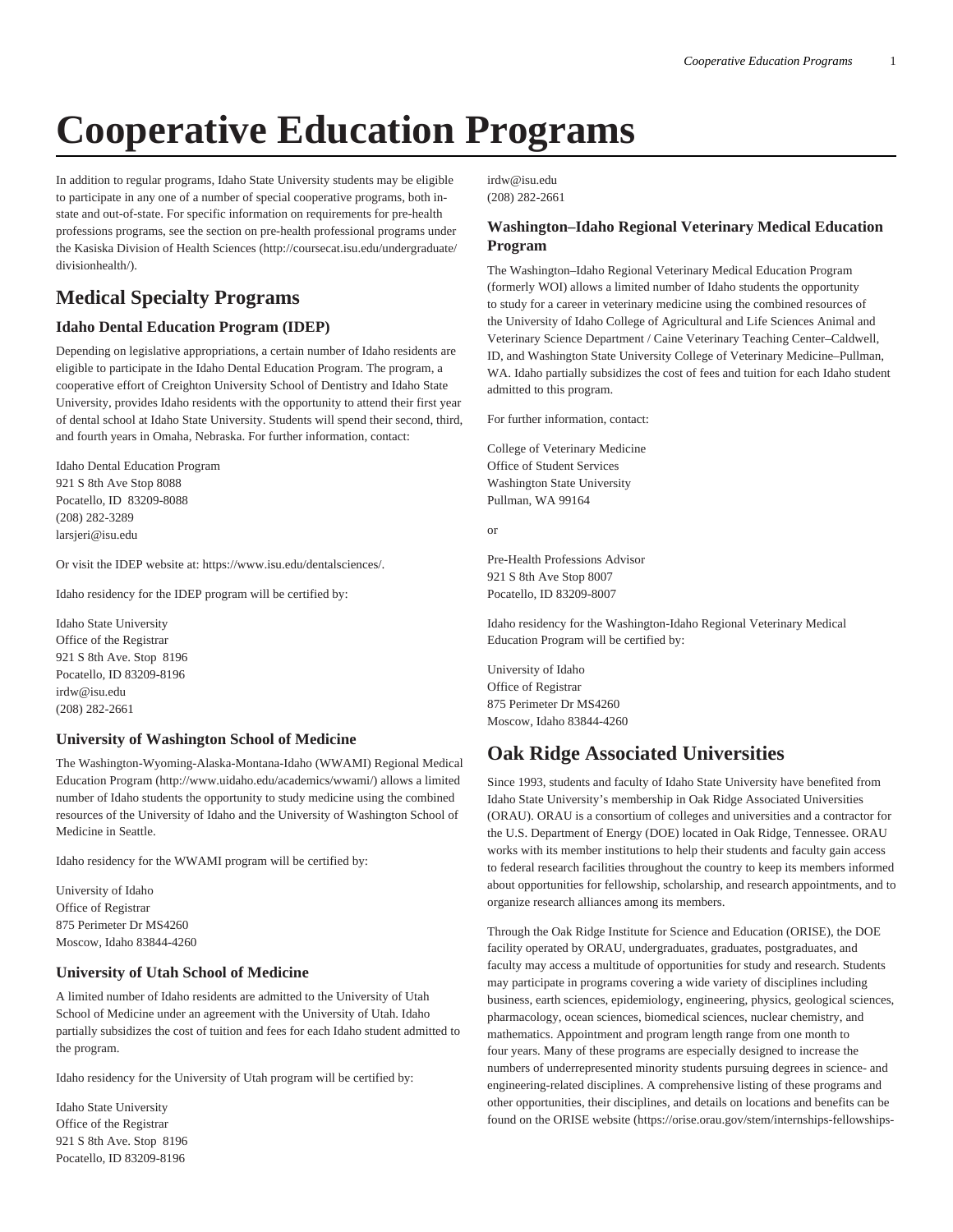# **Cooperative Education Programs**

In addition to regular programs, Idaho State University students may be eligible to participate in any one of a number of special cooperative programs, both instate and out-of-state. For specific information on requirements for pre-health professions programs, see the section on pre-health professional programs under the [Kasiska Division of Health Sciences \(http://coursecat.isu.edu/undergraduate/](http://coursecat.isu.edu/undergraduate/divisionhealth/) [divisionhealth/\)](http://coursecat.isu.edu/undergraduate/divisionhealth/).

# **Medical Specialty Programs**

## **Idaho Dental Education Program (IDEP)**

Depending on legislative appropriations, a certain number of Idaho residents are eligible to participate in the Idaho Dental Education Program. The program, a cooperative effort of Creighton University School of Dentistry and Idaho State University, provides Idaho residents with the opportunity to attend their first year of dental school at Idaho State University. Students will spend their second, third, and fourth years in Omaha, Nebraska. For further information, contact:

Idaho Dental Education Program 921 S 8th Ave Stop 8088 Pocatello, ID 83209-8088 (208) 282-3289 [larsjeri@isu.edu](mailto:larsjeri@isu.edu)

Or visit the IDEP website at:<https://www.isu.edu/dentalsciences/>.

Idaho residency for the IDEP program will be certified by:

Idaho State University Office of the Registrar 921 S 8th Ave. Stop 8196 Pocatello, ID 83209-8196 [irdw@isu.edu](mailto:irdw@isu.edu) (208) 282-2661

### **University of Washington School of Medicine**

The [Washington-Wyoming-Alaska-Montana-Idaho \(WWAMI\) Regional Medical](http://www.uidaho.edu/academics/wwami/) [Education Program](http://www.uidaho.edu/academics/wwami/) ([http://www.uidaho.edu/academics/wwami/\)](http://www.uidaho.edu/academics/wwami/) allows a limited number of Idaho students the opportunity to study medicine using the combined resources of the University of Idaho and the University of Washington School of Medicine in Seattle.

Idaho residency for the WWAMI program will be certified by:

University of Idaho Office of Registrar 875 Perimeter Dr MS4260 Moscow, Idaho 83844-4260

### **University of Utah School of Medicine**

A limited number of Idaho residents are admitted to the University of Utah School of Medicine under an agreement with the University of Utah. Idaho partially subsidizes the cost of tuition and fees for each Idaho student admitted to the program.

Idaho residency for the University of Utah program will be certified by:

Idaho State University Office of the Registrar 921 S 8th Ave. Stop 8196 Pocatello, ID 83209-8196

[irdw@isu.edu](mailto:irdw@isu.edu) (208) 282-2661

## **Washington–Idaho Regional Veterinary Medical Education Program**

The Washington–Idaho Regional Veterinary Medical Education Program (formerly WOI) allows a limited number of Idaho students the opportunity to study for a career in veterinary medicine using the combined resources of the University of Idaho College of Agricultural and Life Sciences Animal and Veterinary Science Department / Caine Veterinary Teaching Center–Caldwell, ID, and Washington State University College of Veterinary Medicine–Pullman, WA. Idaho partially subsidizes the cost of fees and tuition for each Idaho student admitted to this program.

For further information, contact:

College of Veterinary Medicine Office of Student Services Washington State University Pullman, WA 99164

or

Pre-Health Professions Advisor 921 S 8th Ave Stop 8007 Pocatello, ID 83209-8007

Idaho residency for the Washington-Idaho Regional Veterinary Medical Education Program will be certified by:

University of Idaho Office of Registrar 875 Perimeter Dr MS4260 Moscow, Idaho 83844-4260

# **Oak Ridge Associated Universities**

Since 1993, students and faculty of Idaho State University have benefited from Idaho State University's membership in Oak Ridge Associated Universities (ORAU). ORAU is a consortium of colleges and universities and a contractor for the U.S. Department of Energy (DOE) located in Oak Ridge, Tennessee. ORAU works with its member institutions to help their students and faculty gain access to federal research facilities throughout the country to keep its members informed about opportunities for fellowship, scholarship, and research appointments, and to organize research alliances among its members.

Through the Oak Ridge Institute for Science and Education (ORISE), the DOE facility operated by ORAU, undergraduates, graduates, postgraduates, and faculty may access a multitude of opportunities for study and research. Students may participate in programs covering a wide variety of disciplines including business, earth sciences, epidemiology, engineering, physics, geological sciences, pharmacology, ocean sciences, biomedical sciences, nuclear chemistry, and mathematics. Appointment and program length range from one month to four years. Many of these programs are especially designed to increase the numbers of underrepresented minority students pursuing degrees in science- and engineering-related disciplines. A comprehensive listing of these programs and other opportunities, their disciplines, and details on locations and benefits can be found on the ORISE website ([https://orise.orau.gov/stem/internships-fellowships-](https://orise.orau.gov/stem/internships-fellowships-research-opportunities/)